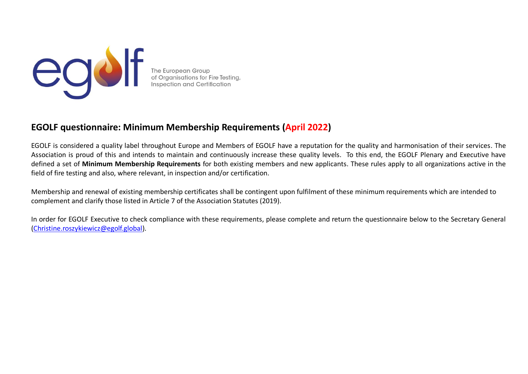

# **EGOLF questionnaire: Minimum Membership Requirements (April 2022)**

EGOLF is considered a quality label throughout Europe and Members of EGOLF have a reputation for the quality and harmonisation of their services. The Association is proud of this and intends to maintain and continuously increase these quality levels. To this end, the EGOLF Plenary and Executive have defined a set of **Minimum Membership Requirements** for both existing members and new applicants. These rules apply to all organizations active in the field of fire testing and also, where relevant, in inspection and/or certification.

Membership and renewal of existing membership certificates shall be contingent upon fulfilment of these minimum requirements which are intended to complement and clarify those listed in Article 7 of the Association Statutes (2019).

In order for EGOLF Executive to check compliance with these requirements, please complete and return the questionnaire below to the Secretary General [\(Christine.roszykiewicz@egolf.global\)](mailto:Christine.roszykiewicz@egolf.global).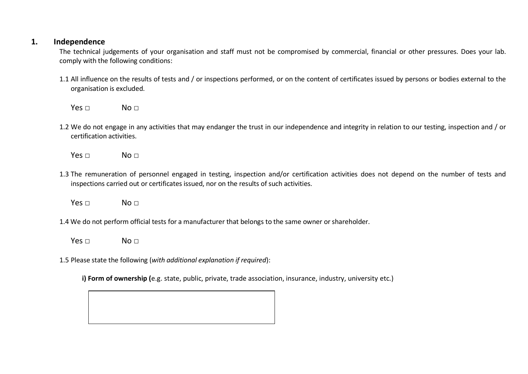#### **1. Independence**

The technical judgements of your organisation and staff must not be compromised by commercial, financial or other pressures. Does your lab. comply with the following conditions:

1.1 All influence on the results of tests and / or inspections performed, or on the content of certificates issued by persons or bodies external to the organisation is excluded.

 $Yes \Box$  No  $\Box$ 

- 1.2 We do not engage in any activities that may endanger the trust in our independence and integrity in relation to our testing, inspection and / or certification activities.
	- $Yes \Box$  No  $\Box$
- 1.3 The remuneration of personnel engaged in testing, inspection and/or certification activities does not depend on the number of tests and inspections carried out or certificates issued, nor on the results of such activities.
	- $Yes \Box$  No  $\Box$
- 1.4 We do not perform official tests for a manufacturer that belongs to the same owner or shareholder.
	- $Yes \Box$  No  $\Box$
- 1.5 Please state the following (*with additional explanation if required*):

**i) Form of ownership (**e.g. state, public, private, trade association, insurance, industry, university etc.)

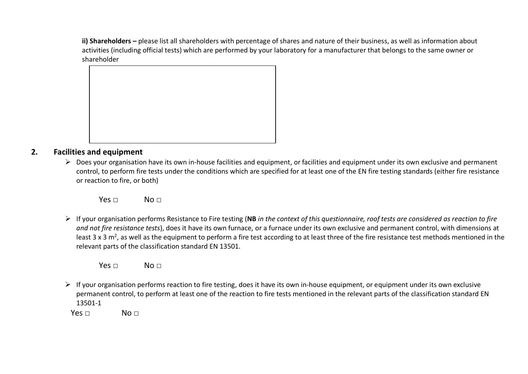**ii) Shareholders –** please list all shareholders with percentage of shares and nature of their business, as well as information about activities (including official tests) which are performed by your laboratory for a manufacturer that belongs to the same owner or shareholder



#### **2. Facilities and equipment**

➢ Does your organisation have its own in-house facilities and equipment, or facilities and equipment under its own exclusive and permanent control, to perform fire tests under the conditions which are specified for at least one of the EN fire testing standards (either fire resistance or reaction to fire, or both)

 $Yes \Box$  No  $\Box$ 

➢ If your organisation performs Resistance to Fire testing (**NB** *in the context of this questionnaire, roof tests are considered as reaction to fire and not fire resistance tests*), does it have its own furnace, or a furnace under its own exclusive and permanent control, with dimensions at least 3 x 3 m<sup>2</sup>, as well as the equipment to perform a fire test according to at least three of the fire resistance test methods mentioned in the relevant parts of the classification standard EN 13501.

Yes □ No □

 $\triangleright$  If your organisation performs reaction to fire testing, does it have its own in-house equipment, or equipment under its own exclusive permanent control, to perform at least one of the reaction to fire tests mentioned in the relevant parts of the classification standard EN 13501-1

 $Yes \Box$  No  $\Box$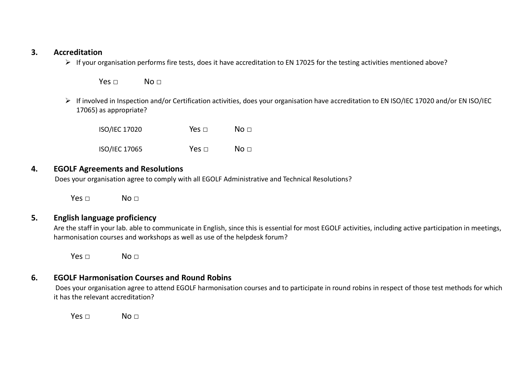#### **3. Accreditation**

➢ If your organisation performs fire tests, does it have accreditation to EN 17025 for the testing activities mentioned above?

 $Yes \Box$   $No \Box$ 

➢ If involved in Inspection and/or Certification activities, does your organisation have accreditation to EN ISO/IEC 17020 and/or EN ISO/IEC 17065) as appropriate?

ISO/IEC 17020 Yes □ No □ ISO/IEC 17065 Yes □ No □

#### **4. EGOLF Agreements and Resolutions**

Does your organisation agree to comply with all EGOLF Administrative and Technical Resolutions?

 $Yes \Box$  No  $\Box$ 

## **5. English language proficiency**

Are the staff in your lab. able to communicate in English, since this is essential for most EGOLF activities, including active participation in meetings, harmonisation courses and workshops as well as use of the helpdesk forum?

 $Yes \Box$   $No \Box$ 

### **6. EGOLF Harmonisation Courses and Round Robins**

Does your organisation agree to attend EGOLF harmonisation courses and to participate in round robins in respect of those test methods for which it has the relevant accreditation?

 $Yes \Box$   $No \Box$